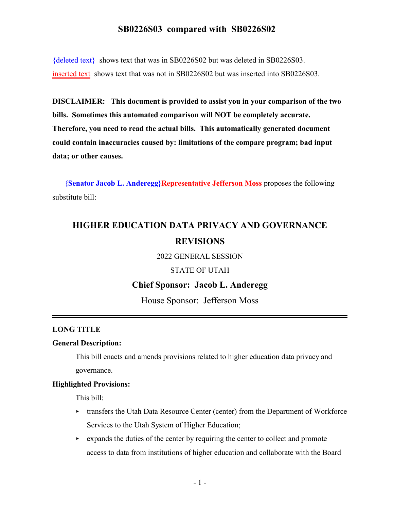{deleted text} shows text that was in SB0226S02 but was deleted in SB0226S03. inserted text shows text that was not in SB0226S02 but was inserted into SB0226S03.

**DISCLAIMER: This document is provided to assist you in your comparison of the two bills. Sometimes this automated comparison will NOT be completely accurate. Therefore, you need to read the actual bills. This automatically generated document could contain inaccuracies caused by: limitations of the compare program; bad input data; or other causes.**

**{Senator Jacob L. Anderegg}Representative Jefferson Moss** proposes the following substitute bill:

# **HIGHER EDUCATION DATA PRIVACY AND GOVERNANCE REVISIONS**

2022 GENERAL SESSION

### STATE OF UTAH

#### **Chief Sponsor: Jacob L. Anderegg**

House Sponsor: Jefferson Moss

#### **LONG TITLE**

#### **General Description:**

This bill enacts and amends provisions related to higher education data privacy and governance.

#### **Highlighted Provisions:**

This bill:

- $\triangleright$  transfers the Utah Data Resource Center (center) from the Department of Workforce Services to the Utah System of Higher Education;
- $\rightarrow$  expands the duties of the center by requiring the center to collect and promote access to data from institutions of higher education and collaborate with the Board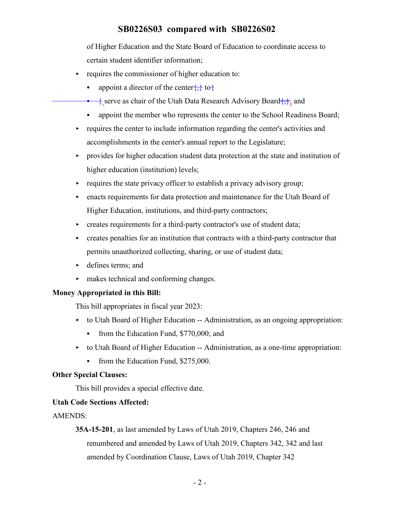of Higher Education and the State Board of Education to coordinate access to certain student identifier information;

- requires the commissioner of higher education to:
	- appoint a director of the center $\{\}$  to  $\{\}$
	- $\frac{1}{2}$  serve as chair of the Utah Data Research Advisory Board $\frac{1}{2}$ ; and
	- appoint the member who represents the center to the School Readiness Board;
- requires the center to include information regarding the center's activities and accomplishments in the center's annual report to the Legislature;
- < provides for higher education student data protection at the state and institution of higher education (institution) levels;
- $\triangleright$  requires the state privacy officer to establish a privacy advisory group;
- < enacts requirements for data protection and maintenance for the Utah Board of Higher Education, institutions, and third-party contractors;
- $\triangleright$  creates requirements for a third-party contractor's use of student data;
- $\triangleright$  creates penalties for an institution that contracts with a third-party contractor that permits unauthorized collecting, sharing, or use of student data;
- < defines terms; and
- < makes technical and conforming changes.

#### **Money Appropriated in this Bill:**

This bill appropriates in fiscal year 2023:

- $\rightarrow$  to Utah Board of Higher Education -- Administration, as an ongoing appropriation:
	- from the Education Fund,  $$770,000$ ; and
- < to Utah Board of Higher Education -- Administration, as a one-time appropriation:
	- from the Education Fund,  $$275,000$ .

#### **Other Special Clauses:**

This bill provides a special effective date.

#### **Utah Code Sections Affected:**

#### AMENDS:

**35A-15-201**, as last amended by Laws of Utah 2019, Chapters 246, 246 and renumbered and amended by Laws of Utah 2019, Chapters 342, 342 and last amended by Coordination Clause, Laws of Utah 2019, Chapter 342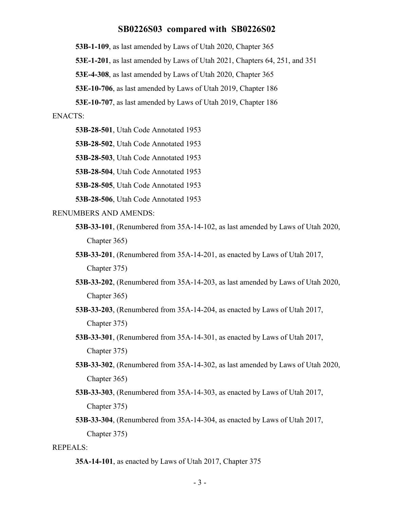**53B-1-109**, as last amended by Laws of Utah 2020, Chapter 365

**53E-1-201**, as last amended by Laws of Utah 2021, Chapters 64, 251, and 351

**53E-4-308**, as last amended by Laws of Utah 2020, Chapter 365

**53E-10-706**, as last amended by Laws of Utah 2019, Chapter 186

**53E-10-707**, as last amended by Laws of Utah 2019, Chapter 186

#### ENACTS:

**53B-28-501**, Utah Code Annotated 1953

**53B-28-502**, Utah Code Annotated 1953

**53B-28-503**, Utah Code Annotated 1953

**53B-28-504**, Utah Code Annotated 1953

**53B-28-505**, Utah Code Annotated 1953

**53B-28-506**, Utah Code Annotated 1953

#### RENUMBERS AND AMENDS:

- **53B-33-101**, (Renumbered from 35A-14-102, as last amended by Laws of Utah 2020, Chapter 365)
- **53B-33-201**, (Renumbered from 35A-14-201, as enacted by Laws of Utah 2017, Chapter 375)
- **53B-33-202**, (Renumbered from 35A-14-203, as last amended by Laws of Utah 2020, Chapter 365)
- **53B-33-203**, (Renumbered from 35A-14-204, as enacted by Laws of Utah 2017, Chapter 375)
- **53B-33-301**, (Renumbered from 35A-14-301, as enacted by Laws of Utah 2017, Chapter 375)
- **53B-33-302**, (Renumbered from 35A-14-302, as last amended by Laws of Utah 2020, Chapter 365)
- **53B-33-303**, (Renumbered from 35A-14-303, as enacted by Laws of Utah 2017, Chapter 375)
- **53B-33-304**, (Renumbered from 35A-14-304, as enacted by Laws of Utah 2017, Chapter 375)

#### REPEALS:

**<sup>35</sup>A-14-101**, as enacted by Laws of Utah 2017, Chapter 375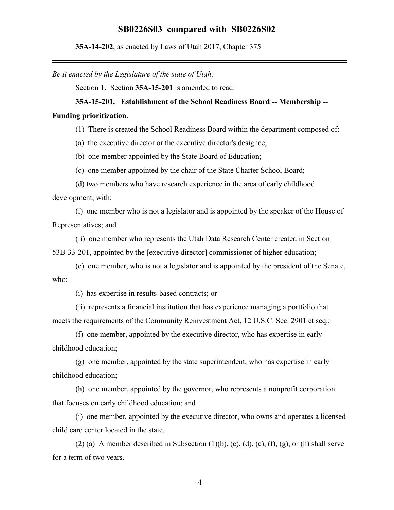**35A-14-202**, as enacted by Laws of Utah 2017, Chapter 375

*Be it enacted by the Legislature of the state of Utah:*

Section 1. Section **35A-15-201** is amended to read:

#### **35A-15-201. Establishment of the School Readiness Board -- Membership --**

#### **Funding prioritization.**

(1) There is created the School Readiness Board within the department composed of:

(a) the executive director or the executive director's designee;

(b) one member appointed by the State Board of Education;

(c) one member appointed by the chair of the State Charter School Board;

(d) two members who have research experience in the area of early childhood development, with:

(i) one member who is not a legislator and is appointed by the speaker of the House of Representatives; and

(ii) one member who represents the Utah Data Research Center created in Section 53B-33-201, appointed by the [executive director] commissioner of higher education;

(e) one member, who is not a legislator and is appointed by the president of the Senate, who:

(i) has expertise in results-based contracts; or

(ii) represents a financial institution that has experience managing a portfolio that meets the requirements of the Community Reinvestment Act, 12 U.S.C. Sec. 2901 et seq.;

(f) one member, appointed by the executive director, who has expertise in early childhood education;

(g) one member, appointed by the state superintendent, who has expertise in early childhood education;

(h) one member, appointed by the governor, who represents a nonprofit corporation that focuses on early childhood education; and

(i) one member, appointed by the executive director, who owns and operates a licensed child care center located in the state.

(2) (a) A member described in Subsection  $(1)(b)$ ,  $(c)$ ,  $(d)$ ,  $(e)$ ,  $(f)$ ,  $(g)$ , or  $(h)$  shall serve for a term of two years.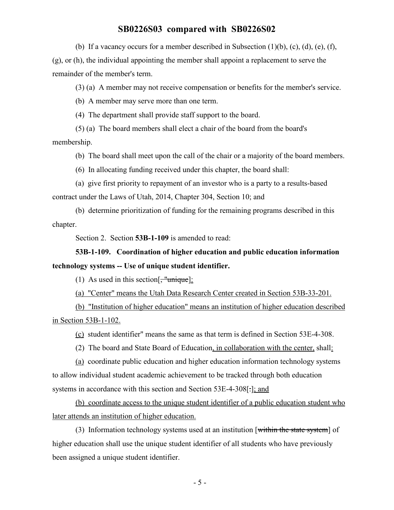(b) If a vacancy occurs for a member described in Subsection  $(1)(b)$ ,  $(c)$ ,  $(d)$ ,  $(e)$ ,  $(f)$ ,

(g), or (h), the individual appointing the member shall appoint a replacement to serve the remainder of the member's term.

(3) (a) A member may not receive compensation or benefits for the member's service.

(b) A member may serve more than one term.

(4) The department shall provide staff support to the board.

(5) (a) The board members shall elect a chair of the board from the board's

membership.

(b) The board shall meet upon the call of the chair or a majority of the board members.

(6) In allocating funding received under this chapter, the board shall:

(a) give first priority to repayment of an investor who is a party to a results-based contract under the Laws of Utah, 2014, Chapter 304, Section 10; and

(b) determine prioritization of funding for the remaining programs described in this chapter.

Section 2. Section **53B-1-109** is amended to read:

## **53B-1-109. Coordination of higher education and public education information technology systems -- Use of unique student identifier.**

(1) As used in this section  $\left[\frac{1}{2}, \frac{1}{2}\right]$ 

(a) "Center" means the Utah Data Research Center created in Section 53B-33-201.

(b) "Institution of higher education" means an institution of higher education described in Section 53B-1-102.

(c) student identifier" means the same as that term is defined in Section 53E-4-308.

(2) The board and State Board of Education, in collaboration with the center, shall:

(a) coordinate public education and higher education information technology systems to allow individual student academic achievement to be tracked through both education systems in accordance with this section and Section 53E-4-308[-]; and

(b) coordinate access to the unique student identifier of a public education student who later attends an institution of higher education.

(3) Information technology systems used at an institution [within the state system] of higher education shall use the unique student identifier of all students who have previously been assigned a unique student identifier.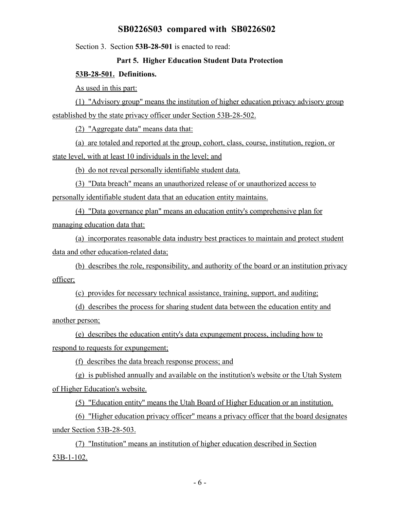Section 3. Section **53B-28-501** is enacted to read:

#### **Part 5. Higher Education Student Data Protection**

#### **53B-28-501. Definitions.**

As used in this part:

(1) "Advisory group" means the institution of higher education privacy advisory group established by the state privacy officer under Section 53B-28-502.

(2) "Aggregate data" means data that:

(a) are totaled and reported at the group, cohort, class, course, institution, region, or state level, with at least 10 individuals in the level; and

(b) do not reveal personally identifiable student data.

(3) "Data breach" means an unauthorized release of or unauthorized access to personally identifiable student data that an education entity maintains.

(4) "Data governance plan" means an education entity's comprehensive plan for managing education data that:

(a) incorporates reasonable data industry best practices to maintain and protect student data and other education-related data;

(b) describes the role, responsibility, and authority of the board or an institution privacy officer;

(c) provides for necessary technical assistance, training, support, and auditing;

(d) describes the process for sharing student data between the education entity and another person;

(e) describes the education entity's data expungement process, including how to respond to requests for expungement;

(f) describes the data breach response process; and

(g) is published annually and available on the institution's website or the Utah System of Higher Education's website.

(5) "Education entity" means the Utah Board of Higher Education or an institution.

(6) "Higher education privacy officer" means a privacy officer that the board designates under Section 53B-28-503.

(7) "Institution" means an institution of higher education described in Section 53B-1-102.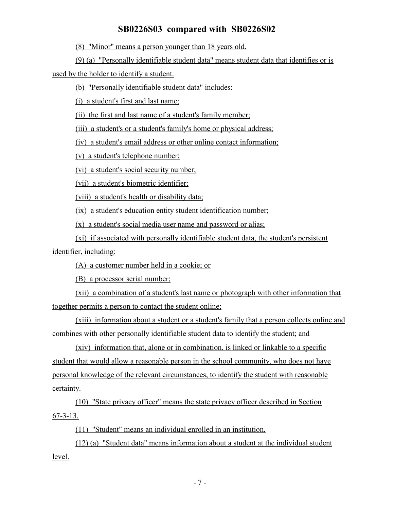(8) "Minor" means a person younger than 18 years old.

(9) (a) "Personally identifiable student data" means student data that identifies or is

used by the holder to identify a student.

(b) "Personally identifiable student data" includes:

(i) a student's first and last name;

(ii) the first and last name of a student's family member;

(iii) a student's or a student's family's home or physical address;

(iv) a student's email address or other online contact information;

(v) a student's telephone number;

(vi) a student's social security number;

(vii) a student's biometric identifier;

(viii) a student's health or disability data;

(ix) a student's education entity student identification number;

(x) a student's social media user name and password or alias;

(xi) if associated with personally identifiable student data, the student's persistent identifier, including:

(A) a customer number held in a cookie; or

(B) a processor serial number;

(xii) a combination of a student's last name or photograph with other information that together permits a person to contact the student online;

(xiii) information about a student or a student's family that a person collects online and combines with other personally identifiable student data to identify the student; and

(xiv) information that, alone or in combination, is linked or linkable to a specific student that would allow a reasonable person in the school community, who does not have personal knowledge of the relevant circumstances, to identify the student with reasonable certainty.

(10) "State privacy officer" means the state privacy officer described in Section 67-3-13.

(11) "Student" means an individual enrolled in an institution.

(12) (a) "Student data" means information about a student at the individual student level.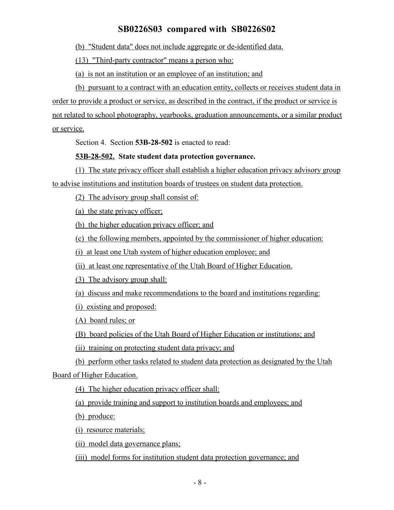(b) "Student data" does not include aggregate or de-identified data.

(13) "Third-party contractor" means a person who:

(a) is not an institution or an employee of an institution; and

(b) pursuant to a contract with an education entity, collects or receives student data in order to provide a product or service, as described in the contract, if the product or service is not related to school photography, yearbooks, graduation announcements, or a similar product or service.

Section 4. Section **53B-28-502** is enacted to read:

### **53B-28-502. State student data protection governance.**

(1) The state privacy officer shall establish a higher education privacy advisory group to advise institutions and institution boards of trustees on student data protection.

(2) The advisory group shall consist of:

(a) the state privacy officer;

(b) the higher education privacy officer; and

(c) the following members, appointed by the commissioner of higher education:

(i) at least one Utah system of higher education employee; and

(ii) at least one representative of the Utah Board of Higher Education.

(3) The advisory group shall:

(a) discuss and make recommendations to the board and institutions regarding:

(i) existing and proposed:

(A) board rules; or

(B) board policies of the Utah Board of Higher Education or institutions; and

(ii) training on protecting student data privacy; and

(b) perform other tasks related to student data protection as designated by the Utah

Board of Higher Education.

(4) The higher education privacy officer shall:

(a) provide training and support to institution boards and employees; and

(b) produce:

(i) resource materials;

(ii) model data governance plans;

(iii) model forms for institution student data protection governance; and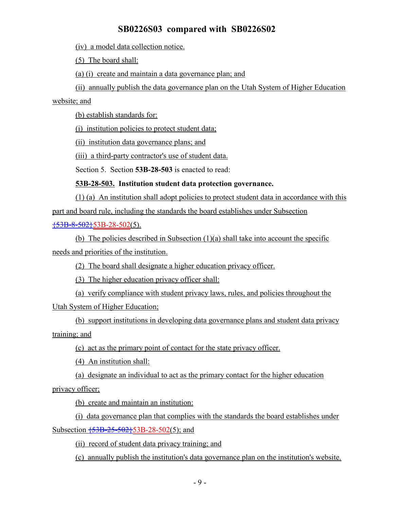(iv) a model data collection notice.

(5) The board shall:

(a) (i) create and maintain a data governance plan; and

(ii) annually publish the data governance plan on the Utah System of Higher Education

website; and

(b) establish standards for:

(i) institution policies to protect student data;

(ii) institution data governance plans; and

(iii) a third-party contractor's use of student data.

Section 5. Section **53B-28-503** is enacted to read:

### **53B-28-503. Institution student data protection governance.**

(1) (a) An institution shall adopt policies to protect student data in accordance with this part and board rule, including the standards the board establishes under Subsection  $\frac{153B-8-502}{53B-28-502(5)}$ .

(b) The policies described in Subsection (1)(a) shall take into account the specific needs and priorities of the institution.

(2) The board shall designate a higher education privacy officer.

(3) The higher education privacy officer shall:

(a) verify compliance with student privacy laws, rules, and policies throughout the Utah System of Higher Education;

(b) support institutions in developing data governance plans and student data privacy training; and

(c) act as the primary point of contact for the state privacy officer.

(4) An institution shall:

(a) designate an individual to act as the primary contact for the higher education

privacy officer;

(b) create and maintain an institution:

(i) data governance plan that complies with the standards the board establishes under Subsection  $\overline{53B-25-502}53B-28-502(5)$ ; and

(ii) record of student data privacy training; and

(c) annually publish the institution's data governance plan on the institution's website.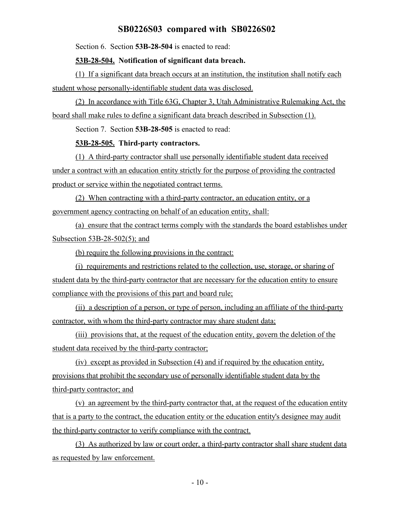Section 6. Section **53B-28-504** is enacted to read:

#### **53B-28-504. Notification of significant data breach.**

(1) If a significant data breach occurs at an institution, the institution shall notify each student whose personally-identifiable student data was disclosed.

(2) In accordance with Title 63G, Chapter 3, Utah Administrative Rulemaking Act, the board shall make rules to define a significant data breach described in Subsection (1).

Section 7. Section **53B-28-505** is enacted to read:

#### **53B-28-505. Third-party contractors.**

(1) A third-party contractor shall use personally identifiable student data received under a contract with an education entity strictly for the purpose of providing the contracted product or service within the negotiated contract terms.

(2) When contracting with a third-party contractor, an education entity, or a government agency contracting on behalf of an education entity, shall:

(a) ensure that the contract terms comply with the standards the board establishes under Subsection 53B-28-502(5); and

(b) require the following provisions in the contract:

(i) requirements and restrictions related to the collection, use, storage, or sharing of student data by the third-party contractor that are necessary for the education entity to ensure compliance with the provisions of this part and board rule;

(ii) a description of a person, or type of person, including an affiliate of the third-party contractor, with whom the third-party contractor may share student data;

(iii) provisions that, at the request of the education entity, govern the deletion of the student data received by the third-party contractor;

(iv) except as provided in Subsection (4) and if required by the education entity, provisions that prohibit the secondary use of personally identifiable student data by the third-party contractor; and

(v) an agreement by the third-party contractor that, at the request of the education entity that is a party to the contract, the education entity or the education entity's designee may audit the third-party contractor to verify compliance with the contract.

(3) As authorized by law or court order, a third-party contractor shall share student data as requested by law enforcement.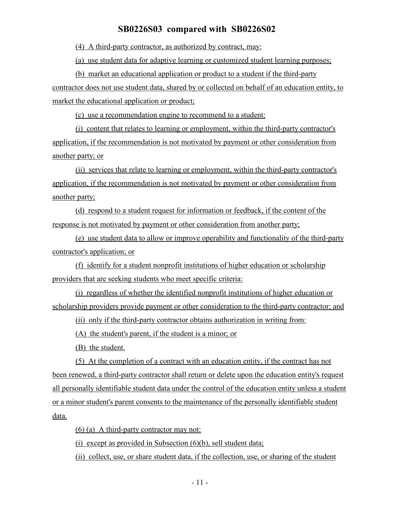(4) A third-party contractor, as authorized by contract, may:

(a) use student data for adaptive learning or customized student learning purposes;

(b) market an educational application or product to a student if the third-party contractor does not use student data, shared by or collected on behalf of an education entity, to market the educational application or product;

(c) use a recommendation engine to recommend to a student:

(i) content that relates to learning or employment, within the third-party contractor's application, if the recommendation is not motivated by payment or other consideration from another party; or

(ii) services that relate to learning or employment, within the third-party contractor's application, if the recommendation is not motivated by payment or other consideration from another party;

(d) respond to a student request for information or feedback, if the content of the response is not motivated by payment or other consideration from another party;

(e) use student data to allow or improve operability and functionality of the third-party contractor's application; or

(f) identify for a student nonprofit institutions of higher education or scholarship providers that are seeking students who meet specific criteria:

(i) regardless of whether the identified nonprofit institutions of higher education or scholarship providers provide payment or other consideration to the third-party contractor; and

(ii) only if the third-party contractor obtains authorization in writing from:

(A) the student's parent, if the student is a minor; or

(B) the student.

(5) At the completion of a contract with an education entity, if the contract has not been renewed, a third-party contractor shall return or delete upon the education entity's request all personally identifiable student data under the control of the education entity unless a student or a minor student's parent consents to the maintenance of the personally identifiable student data.

(6) (a) A third-party contractor may not:

(i) except as provided in Subsection  $(6)(b)$ , sell student data;

(ii) collect, use, or share student data, if the collection, use, or sharing of the student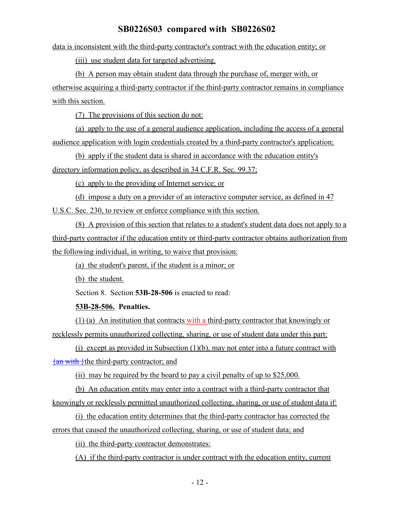data is inconsistent with the third-party contractor's contract with the education entity; or

(iii) use student data for targeted advertising.

(b) A person may obtain student data through the purchase of, merger with, or otherwise acquiring a third-party contractor if the third-party contractor remains in compliance with this section.

(7) The provisions of this section do not:

(a) apply to the use of a general audience application, including the access of a general audience application with login credentials created by a third-party contractor's application;

(b) apply if the student data is shared in accordance with the education entity's directory information policy, as described in 34 C.F.R. Sec. 99.37;

(c) apply to the providing of Internet service; or

(d) impose a duty on a provider of an interactive computer service, as defined in 47 U.S.C. Sec. 230, to review or enforce compliance with this section.

(8) A provision of this section that relates to a student's student data does not apply to a third-party contractor if the education entity or third-party contractor obtains authorization from the following individual, in writing, to waive that provision:

(a) the student's parent, if the student is a minor; or

(b) the student.

Section 8. Section **53B-28-506** is enacted to read:

**53B-28-506. Penalties.**

(1) (a) An institution that contracts with a third-party contractor that knowingly or recklessly permits unauthorized collecting, sharing, or use of student data under this part:

(i) except as provided in Subsection (1)(b), may not enter into a future contract with  $\{\text{an with }\}$ the third-party contractor; and

(ii) may be required by the board to pay a civil penalty of up to \$25,000.

(b) An education entity may enter into a contract with a third-party contractor that knowingly or recklessly permitted unauthorized collecting, sharing, or use of student data if:

(i) the education entity determines that the third-party contractor has corrected the errors that caused the unauthorized collecting, sharing, or use of student data; and

(ii) the third-party contractor demonstrates:

(A) if the third-party contractor is under contract with the education entity, current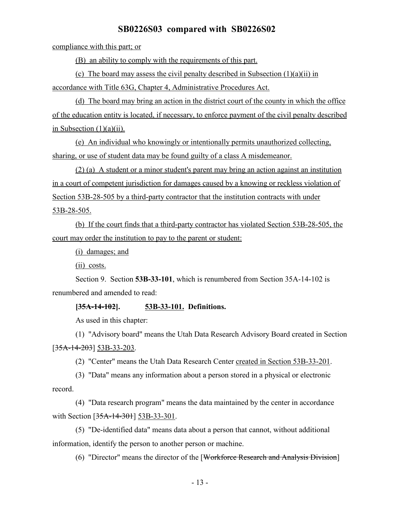compliance with this part; or

(B) an ability to comply with the requirements of this part.

(c) The board may assess the civil penalty described in Subsection  $(1)(a)(ii)$  in accordance with Title 63G, Chapter 4, Administrative Procedures Act.

(d) The board may bring an action in the district court of the county in which the office of the education entity is located, if necessary, to enforce payment of the civil penalty described in Subsection  $(1)(a)(ii)$ .

(e) An individual who knowingly or intentionally permits unauthorized collecting, sharing, or use of student data may be found guilty of a class A misdemeanor.

(2) (a) A student or a minor student's parent may bring an action against an institution in a court of competent jurisdiction for damages caused by a knowing or reckless violation of Section 53B-28-505 by a third-party contractor that the institution contracts with under 53B-28-505.

(b) If the court finds that a third-party contractor has violated Section 53B-28-505, the court may order the institution to pay to the parent or student:

(i) damages; and

(ii) costs.

Section 9. Section **53B-33-101**, which is renumbered from Section 35A-14-102 is renumbered and amended to read:

#### **[35A-14-102]. 53B-33-101. Definitions.**

As used in this chapter:

(1) "Advisory board" means the Utah Data Research Advisory Board created in Section [35A-14-203] 53B-33-203.

(2) "Center" means the Utah Data Research Center created in Section 53B-33-201.

(3) "Data" means any information about a person stored in a physical or electronic record.

(4) "Data research program" means the data maintained by the center in accordance with Section [35A-14-301] 53B-33-301.

(5) "De-identified data" means data about a person that cannot, without additional information, identify the person to another person or machine.

(6) "Director" means the director of the [Workforce Research and Analysis Division]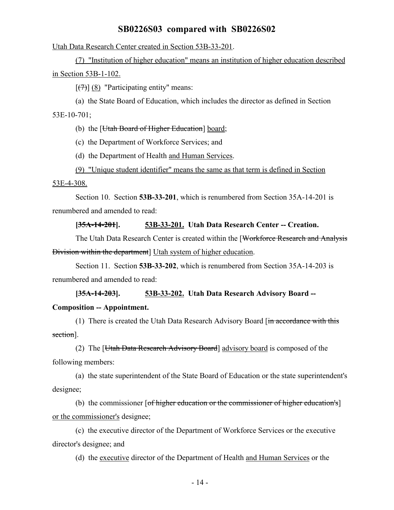Utah Data Research Center created in Section 53B-33-201.

(7) "Institution of higher education" means an institution of higher education described in Section 53B-1-102.

 $[\overline{(7)}]$  (8) "Participating entity" means:

(a) the State Board of Education, which includes the director as defined in Section

53E-10-701;

(b) the [Utah Board of Higher Education] board;

(c) the Department of Workforce Services; and

(d) the Department of Health and Human Services.

(9) "Unique student identifier" means the same as that term is defined in Section

53E-4-308.

Section 10. Section **53B-33-201**, which is renumbered from Section 35A-14-201 is renumbered and amended to read:

#### **[35A-14-201]. 53B-33-201. Utah Data Research Center -- Creation.**

The Utah Data Research Center is created within the [Workforce Research and Analysis Division within the department] Utah system of higher education.

Section 11. Section **53B-33-202**, which is renumbered from Section 35A-14-203 is renumbered and amended to read:

**[35A-14-203]. 53B-33-202. Utah Data Research Advisory Board --**

#### **Composition -- Appointment.**

(1) There is created the Utah Data Research Advisory Board [in accordance with this section].

(2) The [Utah Data Research Advisory Board] advisory board is composed of the following members:

(a) the state superintendent of the State Board of Education or the state superintendent's designee;

(b) the commissioner  $[of higher education or the commissioner of higher education's]$ or the commissioner's designee;

(c) the executive director of the Department of Workforce Services or the executive director's designee; and

(d) the executive director of the Department of Health and Human Services or the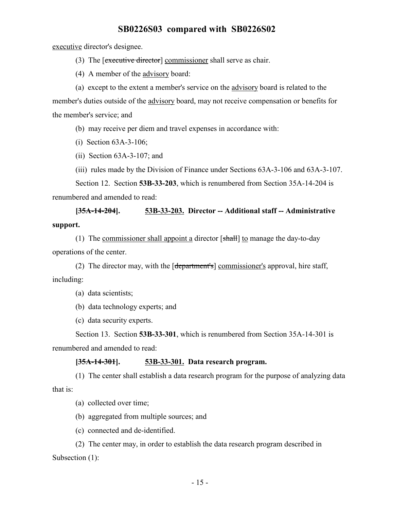executive director's designee.

(3) The [executive director] commissioner shall serve as chair.

(4) A member of the advisory board:

(a) except to the extent a member's service on the advisory board is related to the member's duties outside of the advisory board, may not receive compensation or benefits for the member's service; and

(b) may receive per diem and travel expenses in accordance with:

(i) Section 63A-3-106;

(ii) Section 63A-3-107; and

(iii) rules made by the Division of Finance under Sections 63A-3-106 and 63A-3-107.

Section 12. Section **53B-33-203**, which is renumbered from Section 35A-14-204 is renumbered and amended to read:

**[35A-14-204]. 53B-33-203. Director -- Additional staff -- Administrative support.**

(1) The commissioner shall appoint a director  $[\text{shall}]$  to manage the day-to-day operations of the center.

(2) The director may, with the [department's] commissioner's approval, hire staff, including:

(a) data scientists;

(b) data technology experts; and

(c) data security experts.

Section 13. Section **53B-33-301**, which is renumbered from Section 35A-14-301 is renumbered and amended to read:

#### **[35A-14-301]. 53B-33-301. Data research program.**

(1) The center shall establish a data research program for the purpose of analyzing data that is:

(a) collected over time;

(b) aggregated from multiple sources; and

(c) connected and de-identified.

(2) The center may, in order to establish the data research program described in Subsection (1):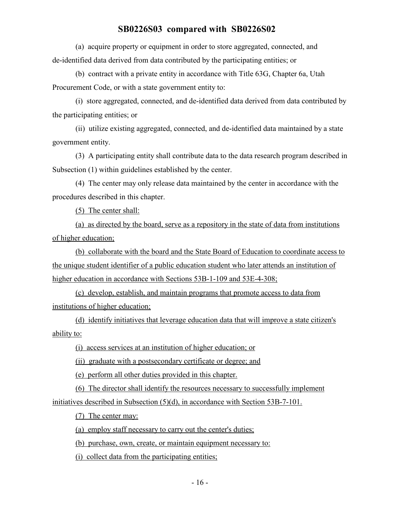(a) acquire property or equipment in order to store aggregated, connected, and de-identified data derived from data contributed by the participating entities; or

(b) contract with a private entity in accordance with Title 63G, Chapter 6a, Utah Procurement Code, or with a state government entity to:

(i) store aggregated, connected, and de-identified data derived from data contributed by the participating entities; or

(ii) utilize existing aggregated, connected, and de-identified data maintained by a state government entity.

(3) A participating entity shall contribute data to the data research program described in Subsection (1) within guidelines established by the center.

(4) The center may only release data maintained by the center in accordance with the procedures described in this chapter.

(5) The center shall:

(a) as directed by the board, serve as a repository in the state of data from institutions of higher education;

(b) collaborate with the board and the State Board of Education to coordinate access to the unique student identifier of a public education student who later attends an institution of higher education in accordance with Sections 53B-1-109 and 53E-4-308;

(c) develop, establish, and maintain programs that promote access to data from institutions of higher education;

(d) identify initiatives that leverage education data that will improve a state citizen's ability to:

(i) access services at an institution of higher education; or

(ii) graduate with a postsecondary certificate or degree; and

(e) perform all other duties provided in this chapter.

(6) The director shall identify the resources necessary to successfully implement initiatives described in Subsection (5)(d), in accordance with Section 53B-7-101.

(7) The center may:

(a) employ staff necessary to carry out the center's duties;

(b) purchase, own, create, or maintain equipment necessary to:

(i) collect data from the participating entities;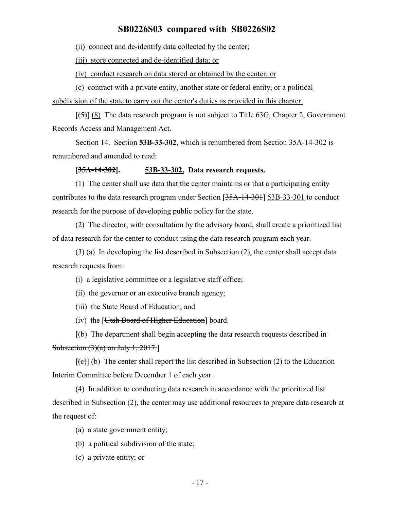(ii) connect and de-identify data collected by the center;

(iii) store connected and de-identified data; or

(iv) conduct research on data stored or obtained by the center; or

(c) contract with a private entity, another state or federal entity, or a political subdivision of the state to carry out the center's duties as provided in this chapter.

 $[5]$  (8) The data research program is not subject to Title 63G, Chapter 2, Government Records Access and Management Act.

Section 14. Section **53B-33-302**, which is renumbered from Section 35A-14-302 is renumbered and amended to read:

#### **[35A-14-302]. 53B-33-302. Data research requests.**

(1) The center shall use data that the center maintains or that a participating entity contributes to the data research program under Section  $[35A-14-301]$  53B-33-301 to conduct research for the purpose of developing public policy for the state.

(2) The director, with consultation by the advisory board, shall create a prioritized list of data research for the center to conduct using the data research program each year.

(3) (a) In developing the list described in Subsection (2), the center shall accept data research requests from:

(i) a legislative committee or a legislative staff office;

(ii) the governor or an executive branch agency;

(iii) the State Board of Education; and

(iv) the [Utah Board of Higher Education] board.

[(b) The department shall begin accepting the data research requests described in Subsection  $(3)(a)$  on July 1, 2017.

 $[\text{f}\text{c}\text{d}]$  (b) The center shall report the list described in Subsection (2) to the Education Interim Committee before December 1 of each year.

(4) In addition to conducting data research in accordance with the prioritized list described in Subsection (2), the center may use additional resources to prepare data research at the request of:

(a) a state government entity;

(b) a political subdivision of the state;

(c) a private entity; or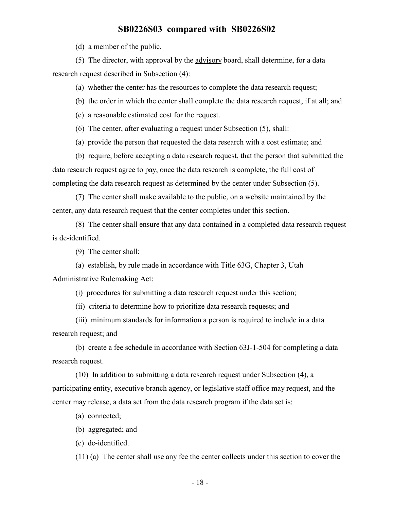(d) a member of the public.

(5) The director, with approval by the advisory board, shall determine, for a data research request described in Subsection (4):

(a) whether the center has the resources to complete the data research request;

(b) the order in which the center shall complete the data research request, if at all; and

(c) a reasonable estimated cost for the request.

(6) The center, after evaluating a request under Subsection (5), shall:

(a) provide the person that requested the data research with a cost estimate; and

(b) require, before accepting a data research request, that the person that submitted the data research request agree to pay, once the data research is complete, the full cost of completing the data research request as determined by the center under Subsection (5).

(7) The center shall make available to the public, on a website maintained by the center, any data research request that the center completes under this section.

(8) The center shall ensure that any data contained in a completed data research request is de-identified.

(9) The center shall:

(a) establish, by rule made in accordance with Title 63G, Chapter 3, Utah Administrative Rulemaking Act:

(i) procedures for submitting a data research request under this section;

(ii) criteria to determine how to prioritize data research requests; and

(iii) minimum standards for information a person is required to include in a data research request; and

(b) create a fee schedule in accordance with Section 63J-1-504 for completing a data research request.

(10) In addition to submitting a data research request under Subsection (4), a participating entity, executive branch agency, or legislative staff office may request, and the center may release, a data set from the data research program if the data set is:

(a) connected;

(b) aggregated; and

(c) de-identified.

(11) (a) The center shall use any fee the center collects under this section to cover the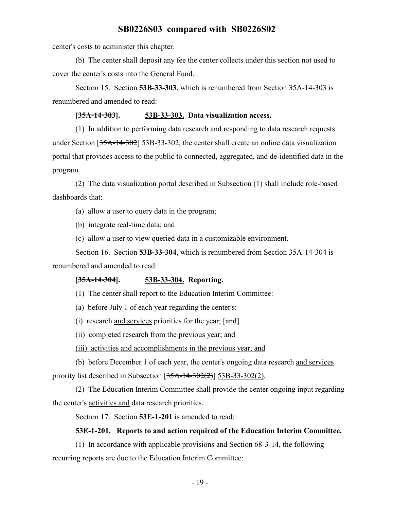center's costs to administer this chapter.

(b) The center shall deposit any fee the center collects under this section not used to cover the center's costs into the General Fund.

Section 15. Section **53B-33-303**, which is renumbered from Section 35A-14-303 is renumbered and amended to read:

#### **[35A-14-303]. 53B-33-303. Data visualization access.**

(1) In addition to performing data research and responding to data research requests under Section [35A-14-302] 53B-33-302, the center shall create an online data visualization portal that provides access to the public to connected, aggregated, and de-identified data in the program.

(2) The data visualization portal described in Subsection (1) shall include role-based dashboards that:

(a) allow a user to query data in the program;

(b) integrate real-time data; and

(c) allow a user to view queried data in a customizable environment.

Section 16. Section **53B-33-304**, which is renumbered from Section 35A-14-304 is renumbered and amended to read:

#### **[35A-14-304]. 53B-33-304. Reporting.**

(1) The center shall report to the Education Interim Committee:

(a) before July 1 of each year regarding the center's:

(i) research and services priorities for the year; [and]

(ii) completed research from the previous year; and

(iii) activities and accomplishments in the previous year; and

(b) before December 1 of each year, the center's ongoing data research and services priority list described in Subsection  $[35A-14-302(2)]$  53B-33-302(2).

(2) The Education Interim Committee shall provide the center ongoing input regarding the center's activities and data research priorities.

Section 17. Section **53E-1-201** is amended to read:

#### **53E-1-201. Reports to and action required of the Education Interim Committee.**

(1) In accordance with applicable provisions and Section 68-3-14, the following recurring reports are due to the Education Interim Committee: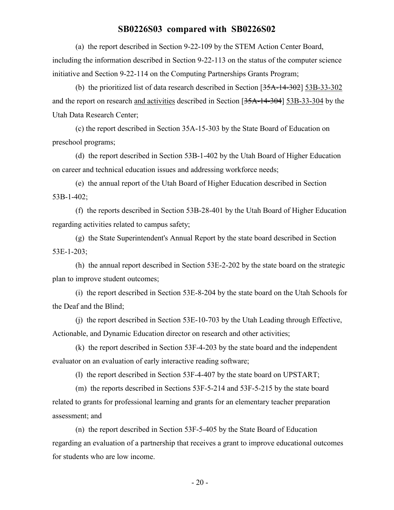(a) the report described in Section 9-22-109 by the STEM Action Center Board, including the information described in Section 9-22-113 on the status of the computer science initiative and Section 9-22-114 on the Computing Partnerships Grants Program;

(b) the prioritized list of data research described in Section [35A-14-302] 53B-33-302 and the report on research and activities described in Section [35A-14-304] 53B-33-304 by the Utah Data Research Center;

(c) the report described in Section 35A-15-303 by the State Board of Education on preschool programs;

(d) the report described in Section 53B-1-402 by the Utah Board of Higher Education on career and technical education issues and addressing workforce needs;

(e) the annual report of the Utah Board of Higher Education described in Section 53B-1-402;

(f) the reports described in Section 53B-28-401 by the Utah Board of Higher Education regarding activities related to campus safety;

(g) the State Superintendent's Annual Report by the state board described in Section 53E-1-203;

(h) the annual report described in Section 53E-2-202 by the state board on the strategic plan to improve student outcomes;

(i) the report described in Section 53E-8-204 by the state board on the Utah Schools for the Deaf and the Blind;

(j) the report described in Section 53E-10-703 by the Utah Leading through Effective, Actionable, and Dynamic Education director on research and other activities;

(k) the report described in Section 53F-4-203 by the state board and the independent evaluator on an evaluation of early interactive reading software;

(l) the report described in Section 53F-4-407 by the state board on UPSTART;

(m) the reports described in Sections 53F-5-214 and 53F-5-215 by the state board related to grants for professional learning and grants for an elementary teacher preparation assessment; and

(n) the report described in Section 53F-5-405 by the State Board of Education regarding an evaluation of a partnership that receives a grant to improve educational outcomes for students who are low income.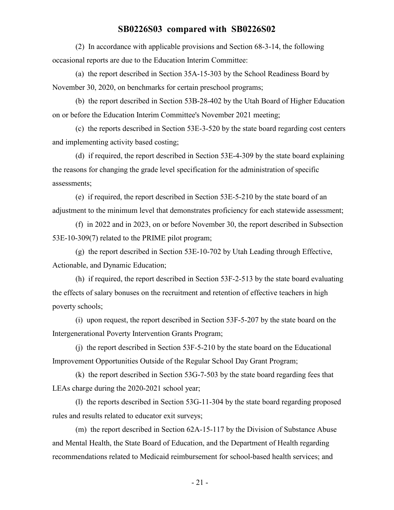(2) In accordance with applicable provisions and Section 68-3-14, the following occasional reports are due to the Education Interim Committee:

(a) the report described in Section 35A-15-303 by the School Readiness Board by November 30, 2020, on benchmarks for certain preschool programs;

(b) the report described in Section 53B-28-402 by the Utah Board of Higher Education on or before the Education Interim Committee's November 2021 meeting;

(c) the reports described in Section 53E-3-520 by the state board regarding cost centers and implementing activity based costing;

(d) if required, the report described in Section 53E-4-309 by the state board explaining the reasons for changing the grade level specification for the administration of specific assessments;

(e) if required, the report described in Section 53E-5-210 by the state board of an adjustment to the minimum level that demonstrates proficiency for each statewide assessment;

(f) in 2022 and in 2023, on or before November 30, the report described in Subsection 53E-10-309(7) related to the PRIME pilot program;

(g) the report described in Section 53E-10-702 by Utah Leading through Effective, Actionable, and Dynamic Education;

(h) if required, the report described in Section 53F-2-513 by the state board evaluating the effects of salary bonuses on the recruitment and retention of effective teachers in high poverty schools;

(i) upon request, the report described in Section 53F-5-207 by the state board on the Intergenerational Poverty Intervention Grants Program;

(j) the report described in Section 53F-5-210 by the state board on the Educational Improvement Opportunities Outside of the Regular School Day Grant Program;

(k) the report described in Section 53G-7-503 by the state board regarding fees that LEAs charge during the 2020-2021 school year;

(l) the reports described in Section 53G-11-304 by the state board regarding proposed rules and results related to educator exit surveys;

(m) the report described in Section 62A-15-117 by the Division of Substance Abuse and Mental Health, the State Board of Education, and the Department of Health regarding recommendations related to Medicaid reimbursement for school-based health services; and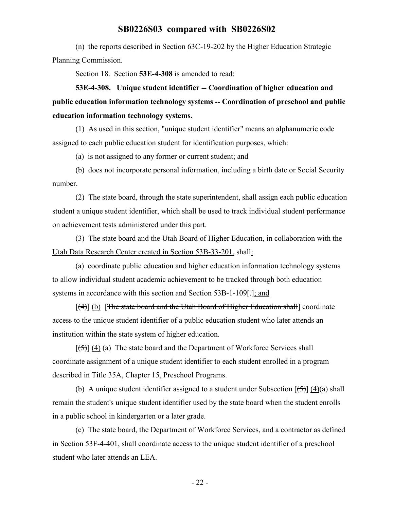(n) the reports described in Section 63C-19-202 by the Higher Education Strategic Planning Commission.

Section 18. Section **53E-4-308** is amended to read:

**53E-4-308. Unique student identifier -- Coordination of higher education and public education information technology systems -- Coordination of preschool and public education information technology systems.**

(1) As used in this section, "unique student identifier" means an alphanumeric code assigned to each public education student for identification purposes, which:

(a) is not assigned to any former or current student; and

(b) does not incorporate personal information, including a birth date or Social Security number.

(2) The state board, through the state superintendent, shall assign each public education student a unique student identifier, which shall be used to track individual student performance on achievement tests administered under this part.

(3) The state board and the Utah Board of Higher Education, in collaboration with the Utah Data Research Center created in Section 53B-33-201, shall:

(a) coordinate public education and higher education information technology systems to allow individual student academic achievement to be tracked through both education systems in accordance with this section and Section 53B-1-109[.]; and

[(4)] (b) [The state board and the Utah Board of Higher Education shall] coordinate access to the unique student identifier of a public education student who later attends an institution within the state system of higher education.

 $[\frac{1}{5}]$  (4) (a) The state board and the Department of Workforce Services shall coordinate assignment of a unique student identifier to each student enrolled in a program described in Title 35A, Chapter 15, Preschool Programs.

(b) A unique student identifier assigned to a student under Subsection  $[\frac{15}{2}]$  (4)(a) shall remain the student's unique student identifier used by the state board when the student enrolls in a public school in kindergarten or a later grade.

(c) The state board, the Department of Workforce Services, and a contractor as defined in Section 53F-4-401, shall coordinate access to the unique student identifier of a preschool student who later attends an LEA.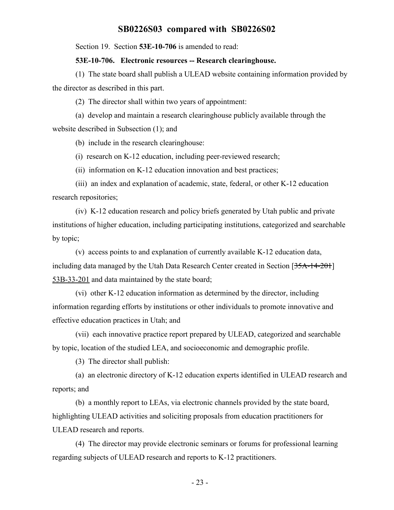Section 19. Section **53E-10-706** is amended to read:

#### **53E-10-706. Electronic resources -- Research clearinghouse.**

(1) The state board shall publish a ULEAD website containing information provided by the director as described in this part.

(2) The director shall within two years of appointment:

(a) develop and maintain a research clearinghouse publicly available through the website described in Subsection (1); and

(b) include in the research clearinghouse:

(i) research on K-12 education, including peer-reviewed research;

(ii) information on K-12 education innovation and best practices;

(iii) an index and explanation of academic, state, federal, or other K-12 education research repositories;

(iv) K-12 education research and policy briefs generated by Utah public and private institutions of higher education, including participating institutions, categorized and searchable by topic;

(v) access points to and explanation of currently available K-12 education data, including data managed by the Utah Data Research Center created in Section [35A-14-201] 53B-33-201 and data maintained by the state board;

(vi) other K-12 education information as determined by the director, including information regarding efforts by institutions or other individuals to promote innovative and effective education practices in Utah; and

(vii) each innovative practice report prepared by ULEAD, categorized and searchable by topic, location of the studied LEA, and socioeconomic and demographic profile.

(3) The director shall publish:

(a) an electronic directory of K-12 education experts identified in ULEAD research and reports; and

(b) a monthly report to LEAs, via electronic channels provided by the state board, highlighting ULEAD activities and soliciting proposals from education practitioners for ULEAD research and reports.

(4) The director may provide electronic seminars or forums for professional learning regarding subjects of ULEAD research and reports to K-12 practitioners.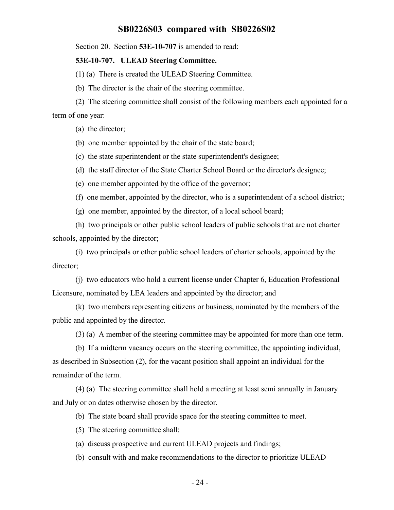Section 20. Section **53E-10-707** is amended to read:

#### **53E-10-707. ULEAD Steering Committee.**

(1) (a) There is created the ULEAD Steering Committee.

(b) The director is the chair of the steering committee.

(2) The steering committee shall consist of the following members each appointed for a term of one year:

(a) the director;

(b) one member appointed by the chair of the state board;

(c) the state superintendent or the state superintendent's designee;

(d) the staff director of the State Charter School Board or the director's designee;

(e) one member appointed by the office of the governor;

(f) one member, appointed by the director, who is a superintendent of a school district;

(g) one member, appointed by the director, of a local school board;

(h) two principals or other public school leaders of public schools that are not charter schools, appointed by the director;

(i) two principals or other public school leaders of charter schools, appointed by the director;

(j) two educators who hold a current license under Chapter 6, Education Professional Licensure, nominated by LEA leaders and appointed by the director; and

(k) two members representing citizens or business, nominated by the members of the public and appointed by the director.

(3) (a) A member of the steering committee may be appointed for more than one term.

(b) If a midterm vacancy occurs on the steering committee, the appointing individual, as described in Subsection (2), for the vacant position shall appoint an individual for the remainder of the term.

(4) (a) The steering committee shall hold a meeting at least semi annually in January and July or on dates otherwise chosen by the director.

(b) The state board shall provide space for the steering committee to meet.

(5) The steering committee shall:

(a) discuss prospective and current ULEAD projects and findings;

(b) consult with and make recommendations to the director to prioritize ULEAD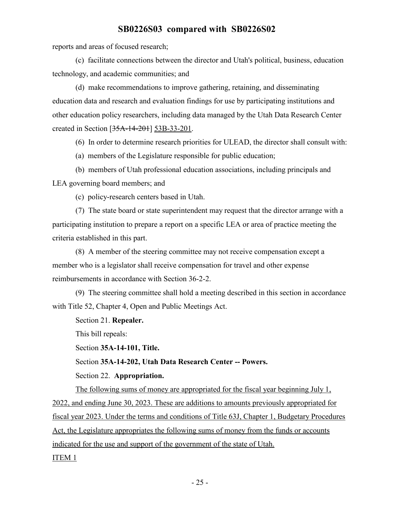reports and areas of focused research;

(c) facilitate connections between the director and Utah's political, business, education technology, and academic communities; and

(d) make recommendations to improve gathering, retaining, and disseminating education data and research and evaluation findings for use by participating institutions and other education policy researchers, including data managed by the Utah Data Research Center created in Section [35A-14-201] 53B-33-201.

(6) In order to determine research priorities for ULEAD, the director shall consult with:

(a) members of the Legislature responsible for public education;

(b) members of Utah professional education associations, including principals and LEA governing board members; and

(c) policy-research centers based in Utah.

(7) The state board or state superintendent may request that the director arrange with a participating institution to prepare a report on a specific LEA or area of practice meeting the criteria established in this part.

(8) A member of the steering committee may not receive compensation except a member who is a legislator shall receive compensation for travel and other expense reimbursements in accordance with Section 36-2-2.

(9) The steering committee shall hold a meeting described in this section in accordance with Title 52, Chapter 4, Open and Public Meetings Act.

Section 21. **Repealer.**

This bill repeals:

Section **35A-14-101, Title.**

Section **35A-14-202, Utah Data Research Center -- Powers.**

Section 22. **Appropriation.**

The following sums of money are appropriated for the fiscal year beginning July 1, 2022, and ending June 30, 2023. These are additions to amounts previously appropriated for fiscal year 2023. Under the terms and conditions of Title 63J, Chapter 1, Budgetary Procedures Act, the Legislature appropriates the following sums of money from the funds or accounts indicated for the use and support of the government of the state of Utah. ITEM 1